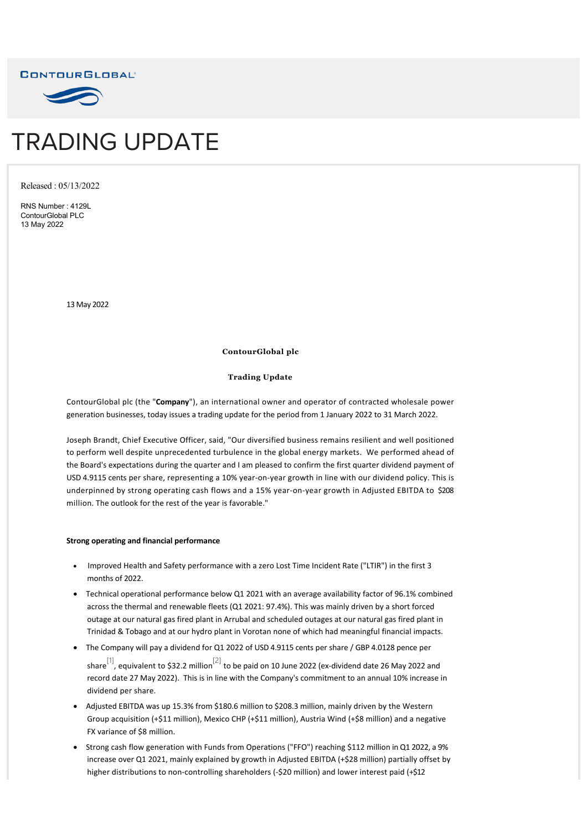



# TRADING UPDATE

Released : 05/13/2022

RNS Number : 4129L ContourGlobal PLC 13 May 2022

13 May 2022

# **ContourGlobal plc**

## **Trading Update**

ContourGlobal plc (the "**Company**"), an international owner and operator of contracted wholesale power generation businesses, today issues a trading update for the period from 1 January 2022 to 31 March 2022.

Joseph Brandt, Chief Executive Officer, said, "Our diversified business remains resilient and well positioned to perform well despite unprecedented turbulence in the global energy markets. We performed ahead of the Board's expectations during the quarter and I am pleased to confirm the first quarter dividend payment of USD 4.9115 cents per share, representing a 10% year‐on‐year growth in line with our dividend policy. This is underpinned by strong operating cash flows and a 15% year‐on‐year growth in Adjusted EBITDA to \$208 million. The outlook for the rest of the year is favorable."

#### **Strong operating and financial performance**

- · Improved Health and Safety performance with a zero Lost Time Incident Rate ("LTIR") in the first 3 months of 2022.
- · Technical operational performance below Q1 2021 with an average availability factor of 96.1% combined across the thermal and renewable fleets (Q1 2021: 97.4%). This was mainly driven by a short forced outage at our natural gas fired plant in Arrubal and scheduled outages at our natural gas fired plant in Trinidad & Tobago and at our hydro plant in Vorotan none of which had meaningful financial impacts.
- · The Company will pay a dividend for Q1 2022 of USD 4.9115 cents per share / GBP 4.0128 pence per share<sup>[1]</sup>, equivalent to \$32.2 million<sup>[2]</sup> to be paid on 10 June 2022 (ex-dividend date 26 May 2022 and record date 27 May 2022). This is in line with the Company's commitment to an annual 10% increase in dividend per share.
- · Adjusted EBITDA was up 15.3% from \$180.6 million to \$208.3 million, mainly driven by the Western Group acquisition (+\$11 million), Mexico CHP (+\$11 million), Austria Wind (+\$8 million) and a negative FX variance of \$8 million.
- · Strong cash flow generation with Funds from Operations ("FFO") reaching \$112 million in Q1 2022, a 9% increase over Q1 2021, mainly explained by growth in Adjusted EBITDA (+\$28 million) partially offset by higher distributions to non-controlling shareholders (-\$20 million) and lower interest paid (+\$12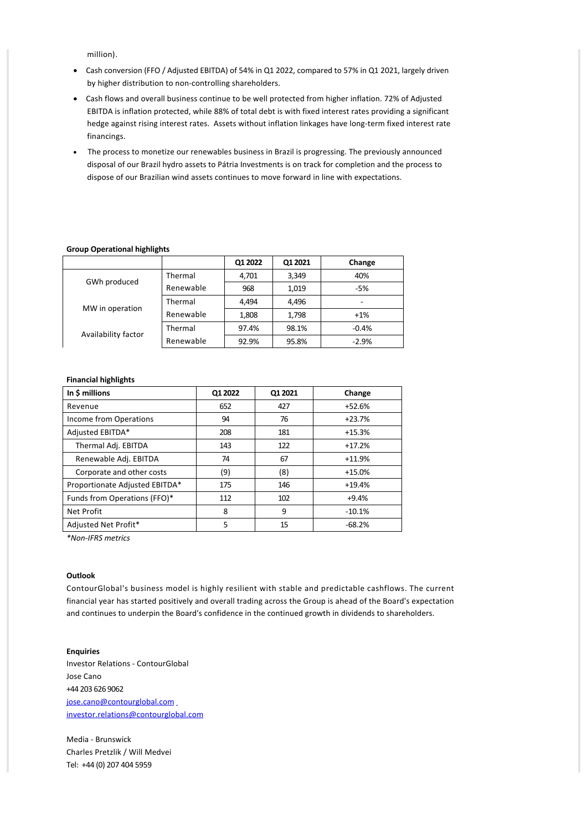million).

- · Cash conversion (FFO / Adjusted EBITDA) of 54% in Q1 2022, compared to 57% in Q1 2021, largely driven by higher distribution to non‐controlling shareholders.
- · Cash flows and overall business continue to be well protected from higher inflation. 72% of Adjusted EBITDA is inflation protected, while 88% of total debt is with fixed interest rates providing a significant hedge against rising interest rates. Assets without inflation linkages have long-term fixed interest rate financings.
- The process to monetize our renewables business in Brazil is progressing. The previously announced disposal of our Brazil hydro assets to Pátria Investments is on track for completion and the process to dispose of our Brazilian wind assets continues to move forward in line with expectations.

## **Group Operational highlights**

|                     |           | Q1 2022 | Q1 2021 | Change  |
|---------------------|-----------|---------|---------|---------|
| GWh produced        | Thermal   | 4,701   | 3,349   | 40%     |
|                     | Renewable | 968     | 1,019   | $-5%$   |
| MW in operation     | Thermal   | 4.494   | 4,496   | ۰       |
|                     | Renewable | 1,808   | 1,798   | $+1%$   |
| Availability factor | Thermal   | 97.4%   | 98.1%   | $-0.4%$ |
|                     | Renewable | 92.9%   | 95.8%   | $-2.9%$ |

#### **Financial highlights**

| In \$ millions                 | Q1 2022 | Q1 2021 | Change   |
|--------------------------------|---------|---------|----------|
| Revenue                        | 652     | 427     | $+52.6%$ |
| Income from Operations         | 94      | 76      | $+23.7%$ |
| Adjusted EBITDA*               | 208     | 181     | $+15.3%$ |
| Thermal Adj. EBITDA            | 143     | 122     | $+17.2%$ |
| Renewable Adj. EBITDA          | 74      | 67      | $+11.9%$ |
| Corporate and other costs      | (9)     | (8)     | $+15.0%$ |
| Proportionate Adjusted EBITDA* | 175     | 146     | $+19.4%$ |
| Funds from Operations (FFO)*   | 112     | 102     | $+9.4%$  |
| <b>Net Profit</b>              | 8       | 9       | $-10.1%$ |
| Adjusted Net Profit*           | 5       | 15      | $-68.2%$ |

*\*Non‐IFRS metrics*

## **Outlook**

ContourGlobal's business model is highly resilient with stable and predictable cashflows. The current financial year has started positively and overall trading across the Group is ahead of the Board's expectation and continues to underpin the Board's confidence in the continued growth in dividends to shareholders.

## **Enquiries**

Investor Relations ‐ ContourGlobal Jose Cano +44 203 626 9062 [jose.cano@contourglobal.com](mailto:jose.cano@contourglobal.com) [investor.relations@contourglobal.com](mailto:investor.relations@contourglobal.com)

Media ‐ Brunswick Charles Pretzlik / Will Medvei Tel: +44 (0) 207 404 5959